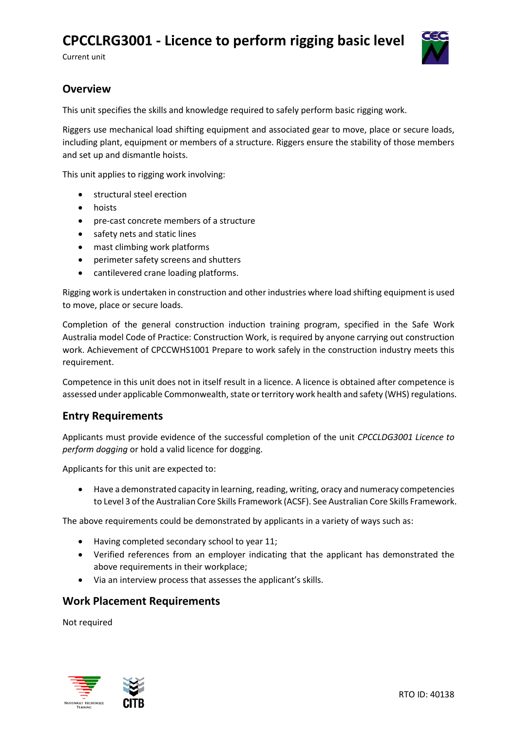# **CPCCLRG3001 - Licence to perform rigging basic level**

Current unit



# **Overview**

This unit specifies the skills and knowledge required to safely perform basic rigging work.

Riggers use mechanical load shifting equipment and associated gear to move, place or secure loads, including plant, equipment or members of a structure. Riggers ensure the stability of those members and set up and dismantle hoists.

This unit applies to rigging work involving:

- structural steel erection
- hoists
- pre-cast concrete members of a structure
- safety nets and static lines
- mast climbing work platforms
- perimeter safety screens and shutters
- cantilevered crane loading platforms.

Rigging work is undertaken in construction and other industries where load shifting equipment is used to move, place or secure loads.

Completion of the general construction induction training program, specified in the Safe Work Australia model Code of Practice: Construction Work, is required by anyone carrying out construction work. Achievement of CPCCWHS1001 Prepare to work safely in the construction industry meets this requirement.

Competence in this unit does not in itself result in a licence. A licence is obtained after competence is assessed under applicable Commonwealth, state or territory work health and safety (WHS) regulations.

#### **Entry Requirements**

Applicants must provide evidence of the successful completion of the unit *CPCCLDG3001 Licence to perform dogging* or hold a valid licence for dogging.

Applicants for this unit are expected to:

• Have a demonstrated capacity in learning, reading, writing, oracy and numeracy competencies to Level 3 of the Australian Core Skills Framework (ACSF). See Australian Core Skills Framework.

The above requirements could be demonstrated by applicants in a variety of ways such as:

- Having completed secondary school to year 11;
- Verified references from an employer indicating that the applicant has demonstrated the above requirements in their workplace;
- Via an interview process that assesses the applicant's skills.

#### **Work Placement Requirements**

Not required